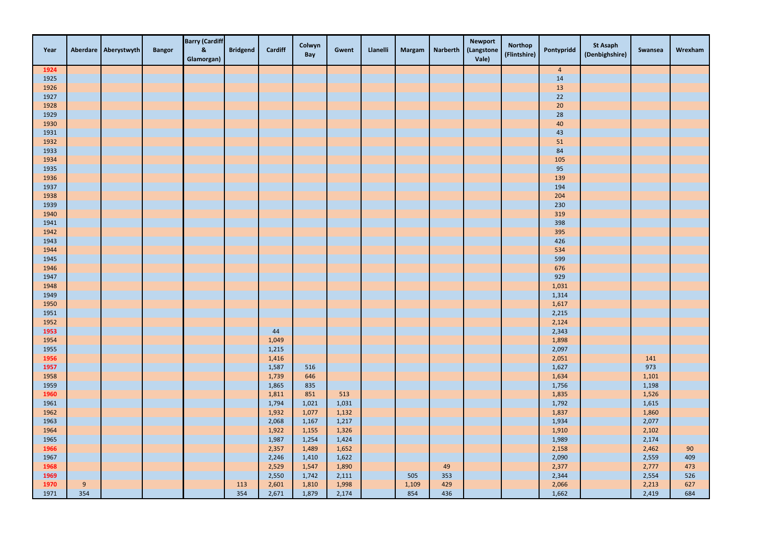| Year         |     | Aberdare Aberystwyth | <b>Bangor</b> | <b>Barry (Cardiff</b><br>$\pmb{8}$<br>Glamorgan) | <b>Bridgend</b> | <b>Cardiff</b> | Colwyn<br><b>Bay</b> | Gwent | Llanelli |       | Margam Narberth | <b>Newport</b><br>(Langstone<br>Vale) | <b>Northop</b><br>(Flintshire) | Pontypridd     | <b>St Asaph</b><br>(Denbighshire) | Swansea | Wrexham |
|--------------|-----|----------------------|---------------|--------------------------------------------------|-----------------|----------------|----------------------|-------|----------|-------|-----------------|---------------------------------------|--------------------------------|----------------|-----------------------------------|---------|---------|
| 1924         |     |                      |               |                                                  |                 |                |                      |       |          |       |                 |                                       |                                | $\overline{4}$ |                                   |         |         |
| 1925         |     |                      |               |                                                  |                 |                |                      |       |          |       |                 |                                       |                                | 14             |                                   |         |         |
| 1926         |     |                      |               |                                                  |                 |                |                      |       |          |       |                 |                                       |                                | $13\,$         |                                   |         |         |
| 1927         |     |                      |               |                                                  |                 |                |                      |       |          |       |                 |                                       |                                | $22$           |                                   |         |         |
| 1928         |     |                      |               |                                                  |                 |                |                      |       |          |       |                 |                                       |                                | $20\,$         |                                   |         |         |
| 1929         |     |                      |               |                                                  |                 |                |                      |       |          |       |                 |                                       |                                | 28             |                                   |         |         |
| 1930         |     |                      |               |                                                  |                 |                |                      |       |          |       |                 |                                       |                                | 40             |                                   |         |         |
| 1931         |     |                      |               |                                                  |                 |                |                      |       |          |       |                 |                                       |                                | 43             |                                   |         |         |
| 1932         |     |                      |               |                                                  |                 |                |                      |       |          |       |                 |                                       |                                | 51             |                                   |         |         |
| 1933         |     |                      |               |                                                  |                 |                |                      |       |          |       |                 |                                       |                                | 84             |                                   |         |         |
| 1934         |     |                      |               |                                                  |                 |                |                      |       |          |       |                 |                                       |                                | 105            |                                   |         |         |
| 1935         |     |                      |               |                                                  |                 |                |                      |       |          |       |                 |                                       |                                | 95             |                                   |         |         |
| 1936         |     |                      |               |                                                  |                 |                |                      |       |          |       |                 |                                       |                                | 139            |                                   |         |         |
| 1937         |     |                      |               |                                                  |                 |                |                      |       |          |       |                 |                                       |                                | 194            |                                   |         |         |
| 1938         |     |                      |               |                                                  |                 |                |                      |       |          |       |                 |                                       |                                | 204            |                                   |         |         |
| 1939         |     |                      |               |                                                  |                 |                |                      |       |          |       |                 |                                       |                                | 230            |                                   |         |         |
| 1940         |     |                      |               |                                                  |                 |                |                      |       |          |       |                 |                                       |                                | 319            |                                   |         |         |
| 1941         |     |                      |               |                                                  |                 |                |                      |       |          |       |                 |                                       |                                | 398            |                                   |         |         |
| 1942         |     |                      |               |                                                  |                 |                |                      |       |          |       |                 |                                       |                                | 395            |                                   |         |         |
| 1943         |     |                      |               |                                                  |                 |                |                      |       |          |       |                 |                                       |                                | 426            |                                   |         |         |
| 1944         |     |                      |               |                                                  |                 |                |                      |       |          |       |                 |                                       |                                | 534            |                                   |         |         |
| 1945         |     |                      |               |                                                  |                 |                |                      |       |          |       |                 |                                       |                                | 599            |                                   |         |         |
| 1946         |     |                      |               |                                                  |                 |                |                      |       |          |       |                 |                                       |                                | 676            |                                   |         |         |
| 1947         |     |                      |               |                                                  |                 |                |                      |       |          |       |                 |                                       |                                | 929            |                                   |         |         |
| 1948         |     |                      |               |                                                  |                 |                |                      |       |          |       |                 |                                       |                                | 1,031          |                                   |         |         |
| 1949<br>1950 |     |                      |               |                                                  |                 |                |                      |       |          |       |                 |                                       |                                | 1,314          |                                   |         |         |
|              |     |                      |               |                                                  |                 |                |                      |       |          |       |                 |                                       |                                | 1,617<br>2,215 |                                   |         |         |
| 1951<br>1952 |     |                      |               |                                                  |                 |                |                      |       |          |       |                 |                                       |                                | 2,124          |                                   |         |         |
| 1953         |     |                      |               |                                                  |                 | 44             |                      |       |          |       |                 |                                       |                                | 2,343          |                                   |         |         |
| 1954         |     |                      |               |                                                  |                 | 1,049          |                      |       |          |       |                 |                                       |                                | 1,898          |                                   |         |         |
| 1955         |     |                      |               |                                                  |                 | 1,215          |                      |       |          |       |                 |                                       |                                | 2,097          |                                   |         |         |
| 1956         |     |                      |               |                                                  |                 | 1,416          |                      |       |          |       |                 |                                       |                                | 2,051          |                                   | 141     |         |
| 1957         |     |                      |               |                                                  |                 | 1,587          | 516                  |       |          |       |                 |                                       |                                | 1,627          |                                   | 973     |         |
| 1958         |     |                      |               |                                                  |                 | 1,739          | 646                  |       |          |       |                 |                                       |                                | 1,634          |                                   | 1,101   |         |
| 1959         |     |                      |               |                                                  |                 | 1,865          | 835                  |       |          |       |                 |                                       |                                | 1,756          |                                   | 1,198   |         |
| 1960         |     |                      |               |                                                  |                 | 1,811          | 851                  | 513   |          |       |                 |                                       |                                | 1,835          |                                   | 1,526   |         |
| 1961         |     |                      |               |                                                  |                 | 1,794          | 1,021                | 1,031 |          |       |                 |                                       |                                | 1,792          |                                   | 1,615   |         |
| 1962         |     |                      |               |                                                  |                 | 1,932          | 1,077                | 1,132 |          |       |                 |                                       |                                | 1,837          |                                   | 1,860   |         |
| 1963         |     |                      |               |                                                  |                 | 2,068          | 1,167                | 1,217 |          |       |                 |                                       |                                | 1,934          |                                   | 2,077   |         |
| 1964         |     |                      |               |                                                  |                 | 1,922          | 1,155                | 1,326 |          |       |                 |                                       |                                | 1,910          |                                   | 2,102   |         |
| 1965         |     |                      |               |                                                  |                 | 1,987          | 1,254                | 1,424 |          |       |                 |                                       |                                | 1,989          |                                   | 2,174   |         |
| 1966         |     |                      |               |                                                  |                 | 2,357          | 1,489                | 1,652 |          |       |                 |                                       |                                | 2,158          |                                   | 2,462   | 90      |
| 1967         |     |                      |               |                                                  |                 | 2,246          | 1,410                | 1,622 |          |       |                 |                                       |                                | 2,090          |                                   | 2,559   | 409     |
| 1968         |     |                      |               |                                                  |                 | 2,529          | 1,547                | 1,890 |          |       | 49              |                                       |                                | 2,377          |                                   | 2,777   | 473     |
| 1969         |     |                      |               |                                                  |                 | 2,550          | 1,742                | 2,111 |          | 505   | 353             |                                       |                                | 2,344          |                                   | 2,554   | 526     |
| 1970         | 9   |                      |               |                                                  | 113             | 2,601          | 1,810                | 1,998 |          | 1,109 | 429             |                                       |                                | 2,066          |                                   | 2,213   | 627     |
| 1971         | 354 |                      |               |                                                  | 354             | 2,671          | 1,879                | 2,174 |          | 854   | 436             |                                       |                                | 1,662          |                                   | 2,419   | 684     |